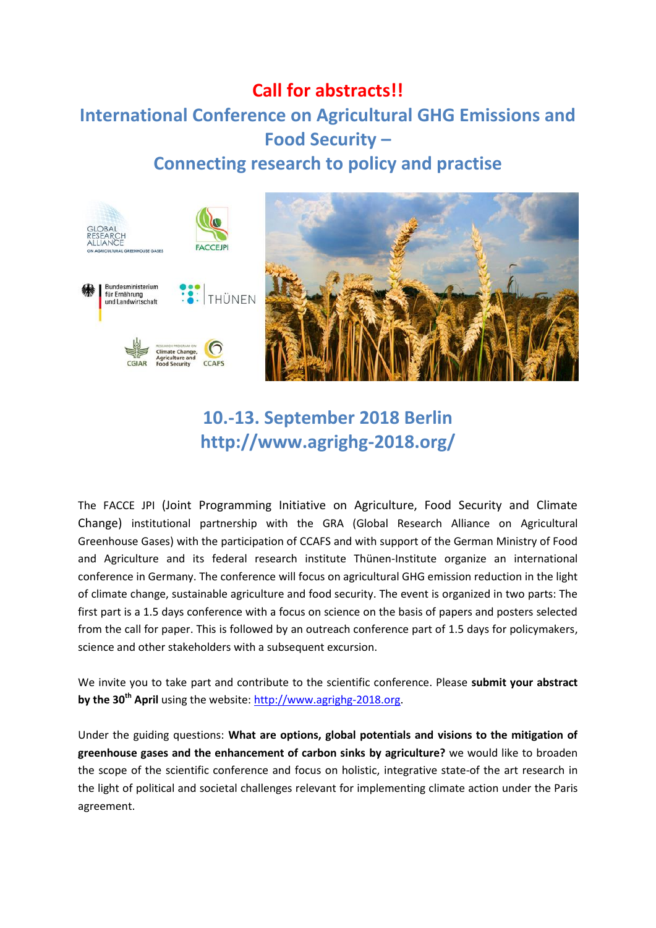### **Call for abstracts!! International Conference on Agricultural GHG Emissions and Food Security – Connecting research to policy and practise**



# **10.-13. September 2018 Berlin http://www.agrighg-2018.org/**

The FACCE JPI (Joint Programming Initiative on Agriculture, Food Security and Climate Change) institutional partnership with the GRA (Global Research Alliance on Agricultural Greenhouse Gases) with the participation of CCAFS and with support of the German Ministry of Food and Agriculture and its federal research institute Thünen-Institute organize an international conference in Germany. The conference will focus on agricultural GHG emission reduction in the light of climate change, sustainable agriculture and food security. The event is organized in two parts: The first part is a 1.5 days conference with a focus on science on the basis of papers and posters selected from the call for paper. This is followed by an outreach conference part of 1.5 days for policymakers, science and other stakeholders with a subsequent excursion.

We invite you to take part and contribute to the scientific conference. Please **submit your abstract by the 30th April** using the website: [http://www.agrighg-2018.org.](http://www.agrighg-2018.org/register-and-call-for-papers/)

Under the guiding questions: **What are options, global potentials and visions to the mitigation of greenhouse gases and the enhancement of carbon sinks by agriculture?** we would like to broaden the scope of the scientific conference and focus on holistic, integrative state-of the art research in the light of political and societal challenges relevant for implementing climate action under the Paris agreement.